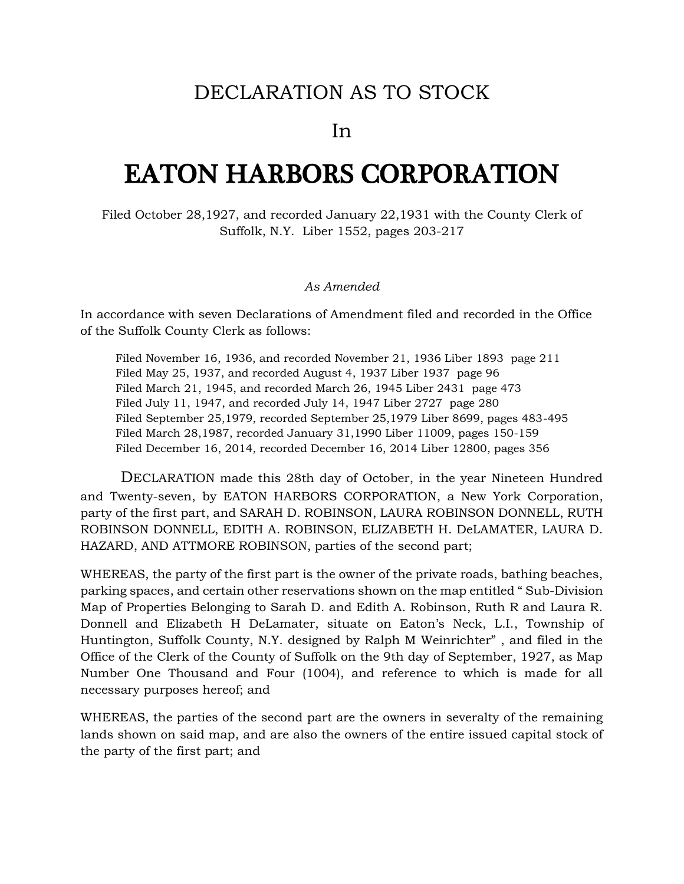## DECLARATION AS TO STOCK

In

# EATON HARBORS CORPORATION

Filed October 28,1927, and recorded January 22,1931 with the County Clerk of Suffolk, N.Y. Liber 1552, pages 203-217

### *As Amended*

In accordance with seven Declarations of Amendment filed and recorded in the Office of the Suffolk County Clerk as follows:

Filed November 16, 1936, and recorded November 21, 1936 Liber 1893 page 211 Filed May 25, 1937, and recorded August 4, 1937 Liber 1937 page 96 Filed March 21, 1945, and recorded March 26, 1945 Liber 2431 page 473 Filed July 11, 1947, and recorded July 14, 1947 Liber 2727 page 280 Filed September 25,1979, recorded September 25,1979 Liber 8699, pages 483-495 Filed March 28,1987, recorded January 31,1990 Liber 11009, pages 150-159 Filed December 16, 2014, recorded December 16, 2014 Liber 12800, pages 356

DECLARATION made this 28th day of October, in the year Nineteen Hundred and Twenty-seven, by EATON HARBORS CORPORATION, a New York Corporation, party of the first part, and SARAH D. ROBINSON, LAURA ROBINSON DONNELL, RUTH ROBINSON DONNELL, EDITH A. ROBINSON, ELIZABETH H. DeLAMATER, LAURA D. HAZARD, AND ATTMORE ROBINSON, parties of the second part;

WHEREAS, the party of the first part is the owner of the private roads, bathing beaches, parking spaces, and certain other reservations shown on the map entitled " Sub-Division Map of Properties Belonging to Sarah D. and Edith A. Robinson, Ruth R and Laura R. Donnell and Elizabeth H DeLamater, situate on Eaton's Neck, L.I., Township of Huntington, Suffolk County, N.Y. designed by Ralph M Weinrichter" , and filed in the Office of the Clerk of the County of Suffolk on the 9th day of September, 1927, as Map Number One Thousand and Four (1004), and reference to which is made for all necessary purposes hereof; and

WHEREAS, the parties of the second part are the owners in severalty of the remaining lands shown on said map, and are also the owners of the entire issued capital stock of the party of the first part; and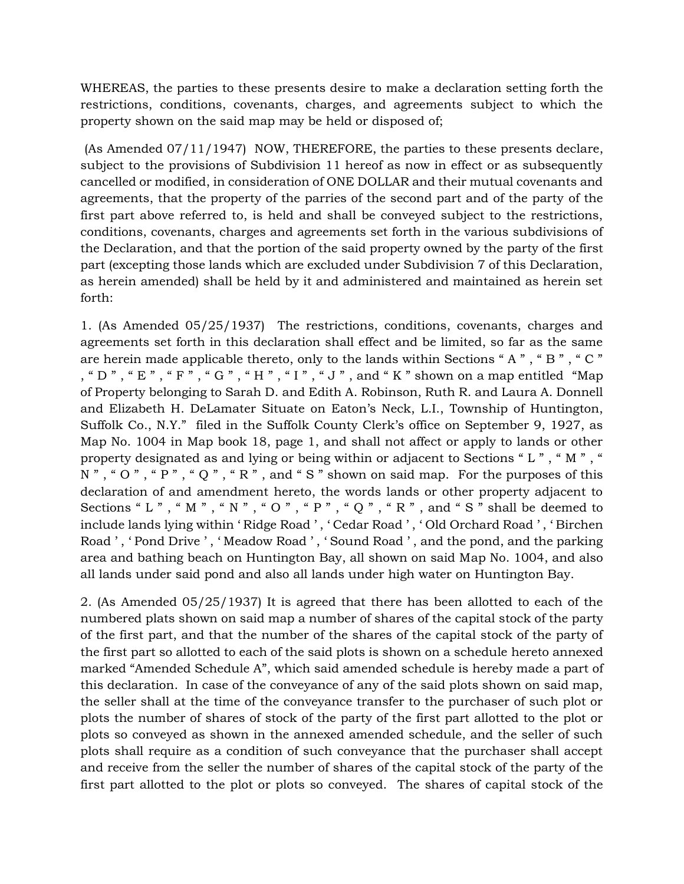WHEREAS, the parties to these presents desire to make a declaration setting forth the restrictions, conditions, covenants, charges, and agreements subject to which the property shown on the said map may be held or disposed of;

(As Amended 07/11/1947) NOW, THEREFORE, the parties to these presents declare, subject to the provisions of Subdivision 11 hereof as now in effect or as subsequently cancelled or modified, in consideration of ONE DOLLAR and their mutual covenants and agreements, that the property of the parries of the second part and of the party of the first part above referred to, is held and shall be conveyed subject to the restrictions, conditions, covenants, charges and agreements set forth in the various subdivisions of the Declaration, and that the portion of the said property owned by the party of the first part (excepting those lands which are excluded under Subdivision 7 of this Declaration, as herein amended) shall be held by it and administered and maintained as herein set forth:

1. (As Amended 05/25/1937) The restrictions, conditions, covenants, charges and agreements set forth in this declaration shall effect and be limited, so far as the same are herein made applicable thereto, only to the lands within Sections " A " , " B " , " C " , " D " , " E " , " F " , " G " , " H " , " I " , " J " , and " K " shown on a map entitled "Map of Property belonging to Sarah D. and Edith A. Robinson, Ruth R. and Laura A. Donnell and Elizabeth H. DeLamater Situate on Eaton's Neck, L.I., Township of Huntington, Suffolk Co., N.Y." filed in the Suffolk County Clerk's office on September 9, 1927, as Map No. 1004 in Map book 18, page 1, and shall not affect or apply to lands or other property designated as and lying or being within or adjacent to Sections " L " , " M " , "  $N$ ", " $O$ ", " $P$ ", " $Q$ ", " $R$ ", and " $S$ " shown on said map. For the purposes of this declaration of and amendment hereto, the words lands or other property adjacent to Sections " L " , " M " , " N " , " O " , " P " , " Q " , " R " , and " S " shall be deemed to include lands lying within ' Ridge Road ' , ' Cedar Road ' , ' Old Orchard Road ' , ' Birchen Road ', 'Pond Drive ', 'Meadow Road ', 'Sound Road ', and the pond, and the parking area and bathing beach on Huntington Bay, all shown on said Map No. 1004, and also all lands under said pond and also all lands under high water on Huntington Bay.

2. (As Amended 05/25/1937) It is agreed that there has been allotted to each of the numbered plats shown on said map a number of shares of the capital stock of the party of the first part, and that the number of the shares of the capital stock of the party of the first part so allotted to each of the said plots is shown on a schedule hereto annexed marked "Amended Schedule A", which said amended schedule is hereby made a part of this declaration. In case of the conveyance of any of the said plots shown on said map, the seller shall at the time of the conveyance transfer to the purchaser of such plot or plots the number of shares of stock of the party of the first part allotted to the plot or plots so conveyed as shown in the annexed amended schedule, and the seller of such plots shall require as a condition of such conveyance that the purchaser shall accept and receive from the seller the number of shares of the capital stock of the party of the first part allotted to the plot or plots so conveyed. The shares of capital stock of the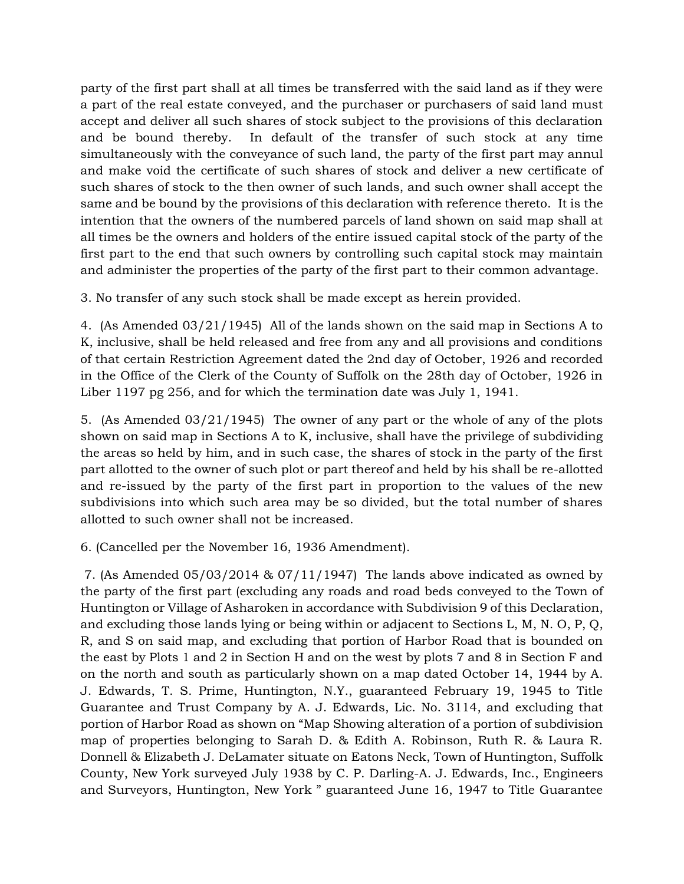party of the first part shall at all times be transferred with the said land as if they were a part of the real estate conveyed, and the purchaser or purchasers of said land must accept and deliver all such shares of stock subject to the provisions of this declaration and be bound thereby. In default of the transfer of such stock at any time simultaneously with the conveyance of such land, the party of the first part may annul and make void the certificate of such shares of stock and deliver a new certificate of such shares of stock to the then owner of such lands, and such owner shall accept the same and be bound by the provisions of this declaration with reference thereto. It is the intention that the owners of the numbered parcels of land shown on said map shall at all times be the owners and holders of the entire issued capital stock of the party of the first part to the end that such owners by controlling such capital stock may maintain and administer the properties of the party of the first part to their common advantage.

3. No transfer of any such stock shall be made except as herein provided.

4. (As Amended 03/21/1945) All of the lands shown on the said map in Sections A to K, inclusive, shall be held released and free from any and all provisions and conditions of that certain Restriction Agreement dated the 2nd day of October, 1926 and recorded in the Office of the Clerk of the County of Suffolk on the 28th day of October, 1926 in Liber 1197 pg 256, and for which the termination date was July 1, 1941.

5. (As Amended 03/21/1945) The owner of any part or the whole of any of the plots shown on said map in Sections A to K, inclusive, shall have the privilege of subdividing the areas so held by him, and in such case, the shares of stock in the party of the first part allotted to the owner of such plot or part thereof and held by his shall be re-allotted and re-issued by the party of the first part in proportion to the values of the new subdivisions into which such area may be so divided, but the total number of shares allotted to such owner shall not be increased.

6. (Cancelled per the November 16, 1936 Amendment).

7. (As Amended  $0.05/03/2014 \& 0.07/11/1947$ ) The lands above indicated as owned by the party of the first part (excluding any roads and road beds conveyed to the Town of Huntington or Village of Asharoken in accordance with Subdivision 9 of this Declaration, and excluding those lands lying or being within or adjacent to Sections L, M, N. O, P, Q, R, and S on said map, and excluding that portion of Harbor Road that is bounded on the east by Plots 1 and 2 in Section H and on the west by plots 7 and 8 in Section F and on the north and south as particularly shown on a map dated October 14, 1944 by A. J. Edwards, T. S. Prime, Huntington, N.Y., guaranteed February 19, 1945 to Title Guarantee and Trust Company by A. J. Edwards, Lic. No. 3114, and excluding that portion of Harbor Road as shown on "Map Showing alteration of a portion of subdivision map of properties belonging to Sarah D. & Edith A. Robinson, Ruth R. & Laura R. Donnell & Elizabeth J. DeLamater situate on Eatons Neck, Town of Huntington, Suffolk County, New York surveyed July 1938 by C. P. Darling-A. J. Edwards, Inc., Engineers and Surveyors, Huntington, New York " guaranteed June 16, 1947 to Title Guarantee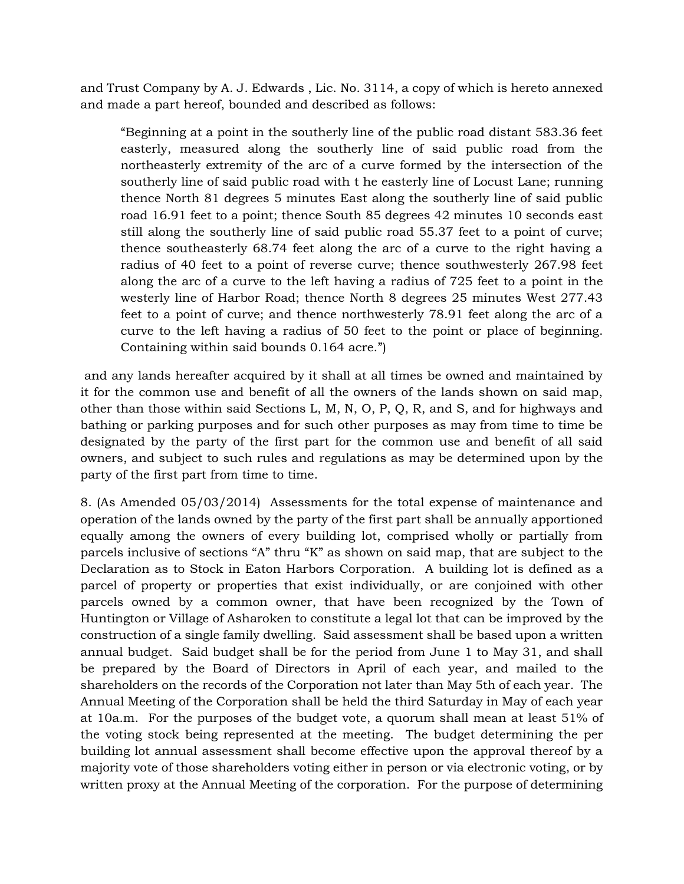and Trust Company by A. J. Edwards , Lic. No. 3114, a copy of which is hereto annexed and made a part hereof, bounded and described as follows:

"Beginning at a point in the southerly line of the public road distant 583.36 feet easterly, measured along the southerly line of said public road from the northeasterly extremity of the arc of a curve formed by the intersection of the southerly line of said public road with t he easterly line of Locust Lane; running thence North 81 degrees 5 minutes East along the southerly line of said public road 16.91 feet to a point; thence South 85 degrees 42 minutes 10 seconds east still along the southerly line of said public road 55.37 feet to a point of curve; thence southeasterly 68.74 feet along the arc of a curve to the right having a radius of 40 feet to a point of reverse curve; thence southwesterly 267.98 feet along the arc of a curve to the left having a radius of 725 feet to a point in the westerly line of Harbor Road; thence North 8 degrees 25 minutes West 277.43 feet to a point of curve; and thence northwesterly 78.91 feet along the arc of a curve to the left having a radius of 50 feet to the point or place of beginning. Containing within said bounds 0.164 acre.")

and any lands hereafter acquired by it shall at all times be owned and maintained by it for the common use and benefit of all the owners of the lands shown on said map, other than those within said Sections L, M, N, O, P, Q, R, and S, and for highways and bathing or parking purposes and for such other purposes as may from time to time be designated by the party of the first part for the common use and benefit of all said owners, and subject to such rules and regulations as may be determined upon by the party of the first part from time to time.

8. (As Amended 05/03/2014) Assessments for the total expense of maintenance and operation of the lands owned by the party of the first part shall be annually apportioned equally among the owners of every building lot, comprised wholly or partially from parcels inclusive of sections "A" thru "K" as shown on said map, that are subject to the Declaration as to Stock in Eaton Harbors Corporation. A building lot is defined as a parcel of property or properties that exist individually, or are conjoined with other parcels owned by a common owner, that have been recognized by the Town of Huntington or Village of Asharoken to constitute a legal lot that can be improved by the construction of a single family dwelling. Said assessment shall be based upon a written annual budget. Said budget shall be for the period from June 1 to May 31, and shall be prepared by the Board of Directors in April of each year, and mailed to the shareholders on the records of the Corporation not later than May 5th of each year. The Annual Meeting of the Corporation shall be held the third Saturday in May of each year at 10a.m. For the purposes of the budget vote, a quorum shall mean at least 51% of the voting stock being represented at the meeting. The budget determining the per building lot annual assessment shall become effective upon the approval thereof by a majority vote of those shareholders voting either in person or via electronic voting, or by written proxy at the Annual Meeting of the corporation. For the purpose of determining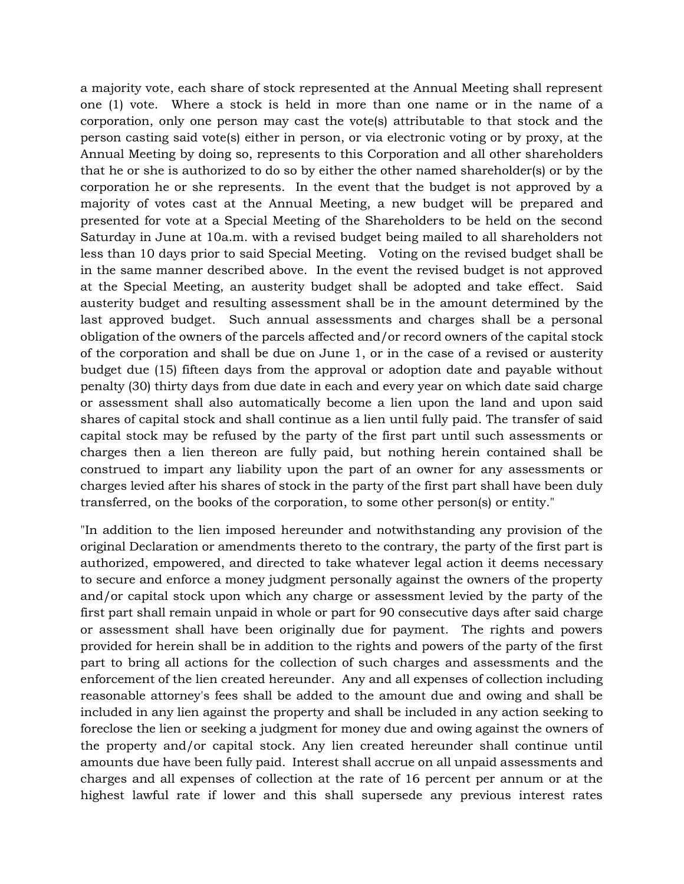a majority vote, each share of stock represented at the Annual Meeting shall represent one (1) vote. Where a stock is held in more than one name or in the name of a corporation, only one person may cast the vote(s) attributable to that stock and the person casting said vote(s) either in person, or via electronic voting or by proxy, at the Annual Meeting by doing so, represents to this Corporation and all other shareholders that he or she is authorized to do so by either the other named shareholder(s) or by the corporation he or she represents. In the event that the budget is not approved by a majority of votes cast at the Annual Meeting, a new budget will be prepared and presented for vote at a Special Meeting of the Shareholders to be held on the second Saturday in June at 10a.m. with a revised budget being mailed to all shareholders not less than 10 days prior to said Special Meeting. Voting on the revised budget shall be in the same manner described above. In the event the revised budget is not approved at the Special Meeting, an austerity budget shall be adopted and take effect. Said austerity budget and resulting assessment shall be in the amount determined by the last approved budget. Such annual assessments and charges shall be a personal obligation of the owners of the parcels affected and/or record owners of the capital stock of the corporation and shall be due on June 1, or in the case of a revised or austerity budget due (15) fifteen days from the approval or adoption date and payable without penalty (30) thirty days from due date in each and every year on which date said charge or assessment shall also automatically become a lien upon the land and upon said shares of capital stock and shall continue as a lien until fully paid. The transfer of said capital stock may be refused by the party of the first part until such assessments or charges then a lien thereon are fully paid, but nothing herein contained shall be construed to impart any liability upon the part of an owner for any assessments or charges levied after his shares of stock in the party of the first part shall have been duly transferred, on the books of the corporation, to some other person(s) or entity."

"In addition to the lien imposed hereunder and notwithstanding any provision of the original Declaration or amendments thereto to the contrary, the party of the first part is authorized, empowered, and directed to take whatever legal action it deems necessary to secure and enforce a money judgment personally against the owners of the property and/or capital stock upon which any charge or assessment levied by the party of the first part shall remain unpaid in whole or part for 90 consecutive days after said charge or assessment shall have been originally due for payment. The rights and powers provided for herein shall be in addition to the rights and powers of the party of the first part to bring all actions for the collection of such charges and assessments and the enforcement of the lien created hereunder. Any and all expenses of collection including reasonable attorney's fees shall be added to the amount due and owing and shall be included in any lien against the property and shall be included in any action seeking to foreclose the lien or seeking a judgment for money due and owing against the owners of the property and/or capital stock. Any lien created hereunder shall continue until amounts due have been fully paid. Interest shall accrue on all unpaid assessments and charges and all expenses of collection at the rate of 16 percent per annum or at the highest lawful rate if lower and this shall supersede any previous interest rates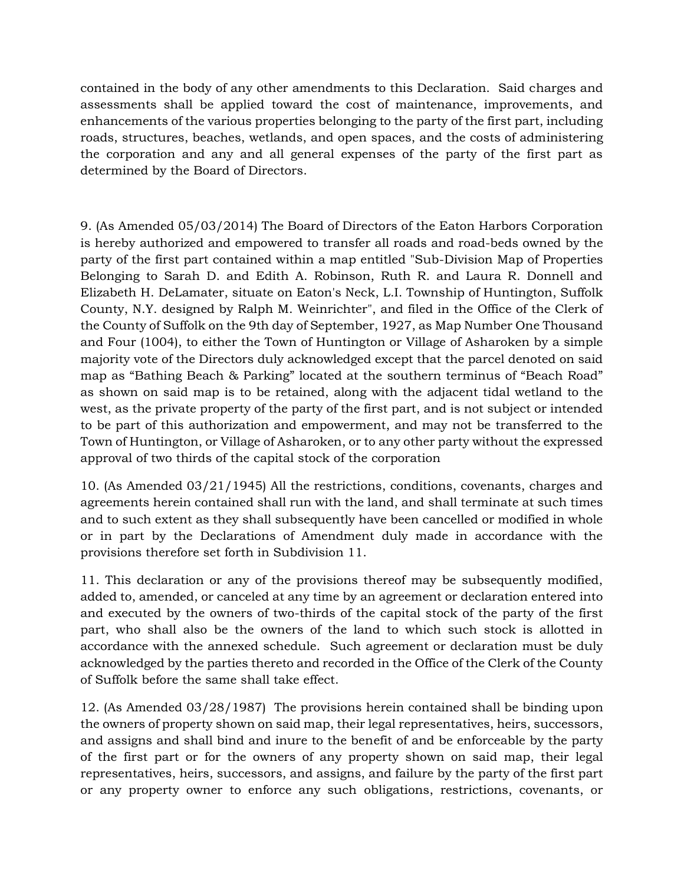contained in the body of any other amendments to this Declaration. Said charges and assessments shall be applied toward the cost of maintenance, improvements, and enhancements of the various properties belonging to the party of the first part, including roads, structures, beaches, wetlands, and open spaces, and the costs of administering the corporation and any and all general expenses of the party of the first part as determined by the Board of Directors.

9. (As Amended 05/03/2014) The Board of Directors of the Eaton Harbors Corporation is hereby authorized and empowered to transfer all roads and road-beds owned by the party of the first part contained within a map entitled "Sub-Division Map of Properties Belonging to Sarah D. and Edith A. Robinson, Ruth R. and Laura R. Donnell and Elizabeth H. DeLamater, situate on Eaton's Neck, L.I. Township of Huntington, Suffolk County, N.Y. designed by Ralph M. Weinrichter", and filed in the Office of the Clerk of the County of Suffolk on the 9th day of September, 1927, as Map Number One Thousand and Four (1004), to either the Town of Huntington or Village of Asharoken by a simple majority vote of the Directors duly acknowledged except that the parcel denoted on said map as "Bathing Beach & Parking" located at the southern terminus of "Beach Road" as shown on said map is to be retained, along with the adjacent tidal wetland to the west, as the private property of the party of the first part, and is not subject or intended to be part of this authorization and empowerment, and may not be transferred to the Town of Huntington, or Village of Asharoken, or to any other party without the expressed approval of two thirds of the capital stock of the corporation

10. (As Amended 03/21/1945) All the restrictions, conditions, covenants, charges and agreements herein contained shall run with the land, and shall terminate at such times and to such extent as they shall subsequently have been cancelled or modified in whole or in part by the Declarations of Amendment duly made in accordance with the provisions therefore set forth in Subdivision 11.

11. This declaration or any of the provisions thereof may be subsequently modified, added to, amended, or canceled at any time by an agreement or declaration entered into and executed by the owners of two-thirds of the capital stock of the party of the first part, who shall also be the owners of the land to which such stock is allotted in accordance with the annexed schedule. Such agreement or declaration must be duly acknowledged by the parties thereto and recorded in the Office of the Clerk of the County of Suffolk before the same shall take effect.

12. (As Amended 03/28/1987) The provisions herein contained shall be binding upon the owners of property shown on said map, their legal representatives, heirs, successors, and assigns and shall bind and inure to the benefit of and be enforceable by the party of the first part or for the owners of any property shown on said map, their legal representatives, heirs, successors, and assigns, and failure by the party of the first part or any property owner to enforce any such obligations, restrictions, covenants, or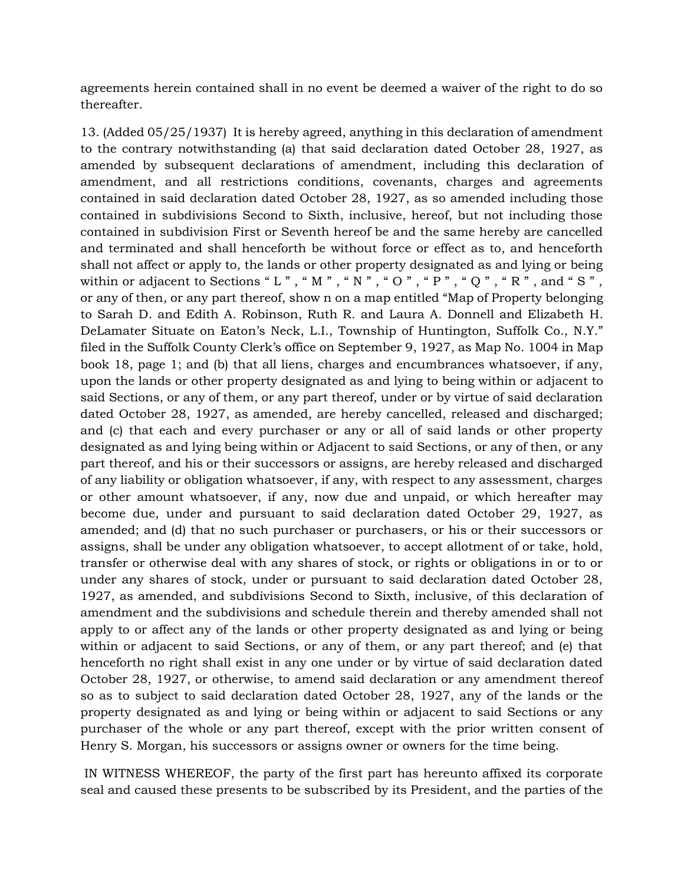agreements herein contained shall in no event be deemed a waiver of the right to do so thereafter.

13. (Added 05/25/1937) It is hereby agreed, anything in this declaration of amendment to the contrary notwithstanding (a) that said declaration dated October 28, 1927, as amended by subsequent declarations of amendment, including this declaration of amendment, and all restrictions conditions, covenants, charges and agreements contained in said declaration dated October 28, 1927, as so amended including those contained in subdivisions Second to Sixth, inclusive, hereof, but not including those contained in subdivision First or Seventh hereof be and the same hereby are cancelled and terminated and shall henceforth be without force or effect as to, and henceforth shall not affect or apply to, the lands or other property designated as and lying or being within or adjacent to Sections " L " , " M " , " N " , " O " , " P " , " Q " , " R " , and " S " , or any of then, or any part thereof, show n on a map entitled "Map of Property belonging to Sarah D. and Edith A. Robinson, Ruth R. and Laura A. Donnell and Elizabeth H. DeLamater Situate on Eaton's Neck, L.I., Township of Huntington, Suffolk Co., N.Y." filed in the Suffolk County Clerk's office on September 9, 1927, as Map No. 1004 in Map book 18, page 1; and (b) that all liens, charges and encumbrances whatsoever, if any, upon the lands or other property designated as and lying to being within or adjacent to said Sections, or any of them, or any part thereof, under or by virtue of said declaration dated October 28, 1927, as amended, are hereby cancelled, released and discharged; and (c) that each and every purchaser or any or all of said lands or other property designated as and lying being within or Adjacent to said Sections, or any of then, or any part thereof, and his or their successors or assigns, are hereby released and discharged of any liability or obligation whatsoever, if any, with respect to any assessment, charges or other amount whatsoever, if any, now due and unpaid, or which hereafter may become due, under and pursuant to said declaration dated October 29, 1927, as amended; and (d) that no such purchaser or purchasers, or his or their successors or assigns, shall be under any obligation whatsoever, to accept allotment of or take, hold, transfer or otherwise deal with any shares of stock, or rights or obligations in or to or under any shares of stock, under or pursuant to said declaration dated October 28, 1927, as amended, and subdivisions Second to Sixth, inclusive, of this declaration of amendment and the subdivisions and schedule therein and thereby amended shall not apply to or affect any of the lands or other property designated as and lying or being within or adjacent to said Sections, or any of them, or any part thereof; and (e) that henceforth no right shall exist in any one under or by virtue of said declaration dated October 28, 1927, or otherwise, to amend said declaration or any amendment thereof so as to subject to said declaration dated October 28, 1927, any of the lands or the property designated as and lying or being within or adjacent to said Sections or any purchaser of the whole or any part thereof, except with the prior written consent of Henry S. Morgan, his successors or assigns owner or owners for the time being.

IN WITNESS WHEREOF, the party of the first part has hereunto affixed its corporate seal and caused these presents to be subscribed by its President, and the parties of the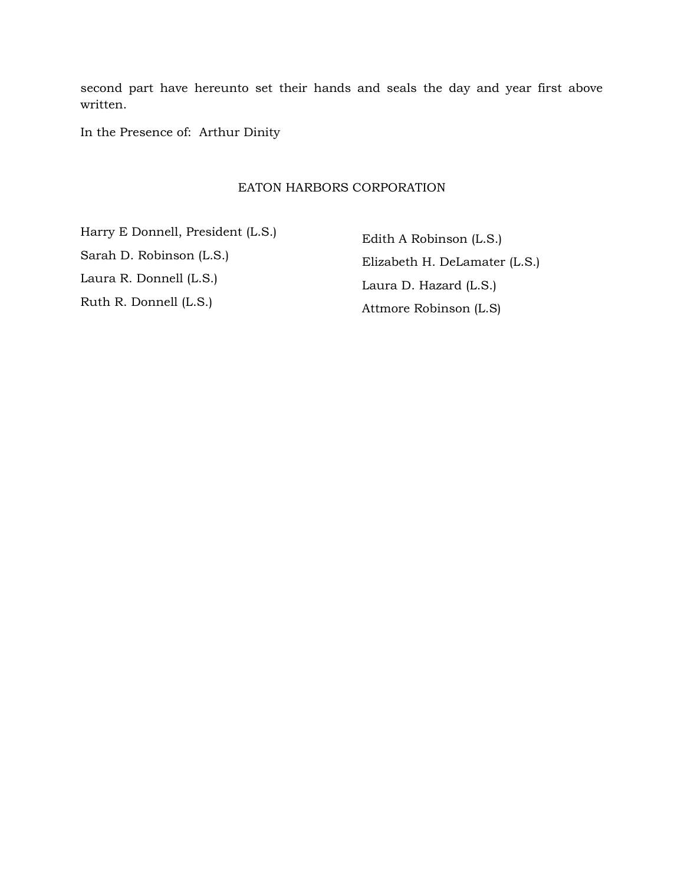second part have hereunto set their hands and seals the day and year first above written.

In the Presence of: Arthur Dinity

#### EATON HARBORS CORPORATION

Harry E Donnell, President (L.S.) Sarah D. Robinson (L.S.) Laura R. Donnell (L.S.) Ruth R. Donnell (L.S.)

Edith A Robinson (L.S.) Elizabeth H. DeLamater (L.S.) Laura D. Hazard (L.S.) Attmore Robinson (L.S)